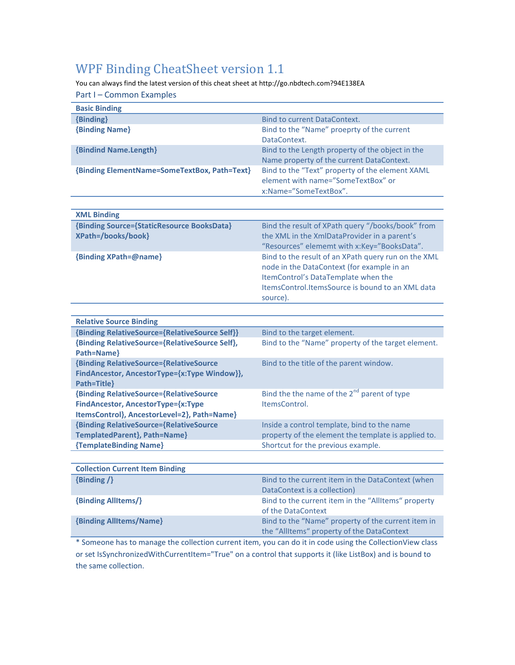## WPF Binding CheatSheet version 1.1

You can always find the latest version of this cheat sheet at http://go.nbdtech.com?94E138EA

Part I – Common Examples

| <b>Basic Binding</b>                                                                                                                |                                                                                                                                                                                                          |
|-------------------------------------------------------------------------------------------------------------------------------------|----------------------------------------------------------------------------------------------------------------------------------------------------------------------------------------------------------|
| {Binding}                                                                                                                           | <b>Bind to current DataContext.</b>                                                                                                                                                                      |
| <b>{Binding Name}</b>                                                                                                               | Bind to the "Name" proeprty of the current<br>DataContext.                                                                                                                                               |
| <b>{Bindind Name.Length}</b>                                                                                                        | Bind to the Length property of the object in the<br>Name property of the current DataContext.                                                                                                            |
| {Binding ElementName=SomeTextBox, Path=Text}                                                                                        | Bind to the "Text" property of the element XAML<br>element with name="SomeTextBox" or<br>x:Name="SomeTextBox".                                                                                           |
|                                                                                                                                     |                                                                                                                                                                                                          |
| <b>XML Binding</b>                                                                                                                  |                                                                                                                                                                                                          |
| {Binding Source={StaticResource BooksData}<br>XPath=/books/book}                                                                    | Bind the result of XPath query "/books/book" from<br>the XML in the XmlDataProvider in a parent's<br>"Resources" elememt with x:Key="BooksData".                                                         |
| {Binding XPath=@name}                                                                                                               | Bind to the result of an XPath query run on the XML<br>node in the DataContext (for example in an<br>ItemControl's DataTemplate when the<br>ItemsControl.ItemsSource is bound to an XML data<br>source). |
|                                                                                                                                     |                                                                                                                                                                                                          |
| <b>Relative Source Binding</b>                                                                                                      |                                                                                                                                                                                                          |
| {Binding RelativeSource={RelativeSource Self}}                                                                                      | Bind to the target element.                                                                                                                                                                              |
| {Binding RelativeSource={RelativeSource Self},<br>Path=Name}                                                                        | Bind to the "Name" property of the target element.                                                                                                                                                       |
| {Binding RelativeSource={RelativeSource<br>FindAncestor, AncestorType={x:Type Window}},<br>Path=Title}                              | Bind to the title of the parent window.                                                                                                                                                                  |
| <b>{Binding RelativeSource={RelativeSource</b><br>FindAncestor, AncestorType={x:Type<br>ItemsControl}, AncestorLevel=2}, Path=Name} | Bind the the name of the $2^{nd}$ parent of type<br>ItemsControl.                                                                                                                                        |
| <b>{Binding RelativeSource={RelativeSource</b><br>TemplatedParent}, Path=Name}                                                      | Inside a control template, bind to the name<br>property of the element the template is applied to.                                                                                                       |
| {TemplateBinding Name}                                                                                                              | Shortcut for the previous example.                                                                                                                                                                       |
|                                                                                                                                     |                                                                                                                                                                                                          |
| <b>Collection Current Item Binding</b>                                                                                              |                                                                                                                                                                                                          |
| $f = 11.4 - 11.4$                                                                                                                   | material and address<br>as the contract of the contract the contract of the contract of the contract of the contract of the contract of                                                                  |

| $\{Binding / \}$        | Bind to the current item in the DataContext (when<br>DataContext is a collection)                |
|-------------------------|--------------------------------------------------------------------------------------------------|
| {Binding AllItems/}     | Bind to the current item in the "AllItems" property<br>of the DataContext                        |
| {Binding AllItems/Name} | Bind to the "Name" property of the current item in<br>the "AllItems" property of the DataContext |

\* Someone has to manage the collection current item, you can do it in code using the CollectionView class or set IsSynchronizedWithCurrentItem="True" on a control that supports it (like ListBox) and is bound to the same collection.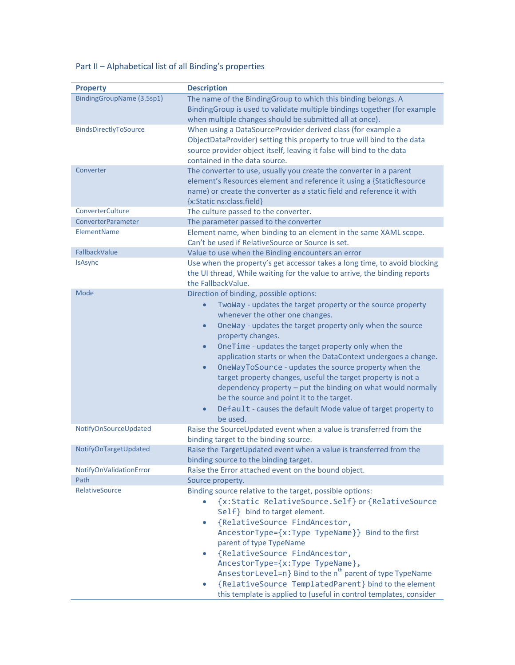## Part II – Alphabetical list of all Binding's properties

| <b>Property</b>           | <b>Description</b>                                                         |
|---------------------------|----------------------------------------------------------------------------|
| BindingGroupName (3.5sp1) | The name of the BindingGroup to which this binding belongs. A              |
|                           | BindingGroup is used to validate multiple bindings together (for example   |
|                           | when multiple changes should be submitted all at once).                    |
| BindsDirectlyToSource     | When using a DataSourceProvider derived class (for example a               |
|                           | ObjectDataProvider) setting this property to true will bind to the data    |
|                           | source provider object itself, leaving it false will bind to the data      |
|                           | contained in the data source.                                              |
| Converter                 | The converter to use, usually you create the converter in a parent         |
|                           | element's Resources element and reference it using a {StaticResource       |
|                           | name) or create the converter as a static field and reference it with      |
|                           | {x:Static ns:class.field}                                                  |
| ConverterCulture          | The culture passed to the converter.                                       |
| ConverterParameter        | The parameter passed to the converter                                      |
| ElementName               |                                                                            |
|                           | Element name, when binding to an element in the same XAML scope.           |
|                           | Can't be used if RelativeSource or Source is set.                          |
| FallbackValue             | Value to use when the Binding encounters an error                          |
| <b>IsAsync</b>            | Use when the property's get accessor takes a long time, to avoid blocking  |
|                           | the UI thread, While waiting for the value to arrive, the binding reports  |
|                           | the FallbackValue.                                                         |
| Mode                      | Direction of binding, possible options:                                    |
|                           | TwoWay - updates the target property or the source property                |
|                           | whenever the other one changes.                                            |
|                           | OneWay - updates the target property only when the source<br>$\bullet$     |
|                           | property changes.                                                          |
|                           | OneTime - updates the target property only when the<br>$\bullet$           |
|                           | application starts or when the DataContext undergoes a change.             |
|                           | OneWayToSource - updates the source property when the<br>$\bullet$         |
|                           |                                                                            |
|                           | target property changes, useful the target property is not a               |
|                           | dependency property - put the binding on what would normally               |
|                           | be the source and point it to the target.                                  |
|                           | Default - causes the default Mode value of target property to<br>$\bullet$ |
|                           | be used.                                                                   |
| NotifyOnSourceUpdated     | Raise the SourceUpdated event when a value is transferred from the         |
|                           | binding target to the binding source.                                      |
| NotifyOnTargetUpdated     | Raise the TargetUpdated event when a value is transferred from the         |
|                           | binding source to the binding target.                                      |
| NotifyOnValidationError   | Raise the Error attached event on the bound object.                        |
| Path                      | Source property.                                                           |
| RelativeSource            | Binding source relative to the target, possible options:                   |
|                           | {x:Static RelativeSource.Self} or {RelativeSource                          |
|                           | Self} bind to target element.                                              |
|                           |                                                                            |
|                           | {RelativeSource FindAncestor,                                              |
|                           | AncestorType={x:Type TypeName}} Bind to the first                          |
|                           | parent of type TypeName                                                    |
|                           | {RelativeSource FindAncestor,<br>$\bullet$                                 |
|                           | AncestorType={x:Type TypeName},                                            |
|                           | AnsestorLevel=n} Bind to the n <sup>th</sup> parent of type TypeName       |
|                           | {RelativeSource TemplatedParent} bind to the element                       |
|                           | this template is applied to (useful in control templates, consider         |